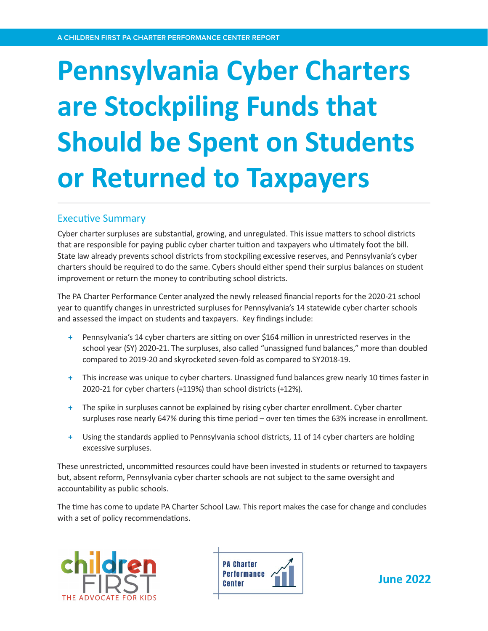# **Pennsylvania Cyber Charters are Stockpiling Funds that Should be Spent on Students or Returned to Taxpayers**

# Executive Summary

Cyber charter surpluses are substantial, growing, and unregulated. This issue matters to school districts that are responsible for paying public cyber charter tuition and taxpayers who ultimately foot the bill. State law already prevents school districts from stockpiling excessive reserves, and Pennsylvania's cyber charters should be required to do the same. Cybers should either spend their surplus balances on student improvement or return the money to contributing school districts.

The PA Charter Performance Center analyzed the newly released financial reports for the 2020-21 school year to quantify changes in unrestricted surpluses for Pennsylvania's 14 statewide cyber charter schools and assessed the impact on students and taxpayers. Key findings include:

- **+** Pennsylvania's 14 cyber charters are sitting on over \$164 million in unrestricted reserves in the school year (SY) 2020-21. The surpluses, also called "unassigned fund balances," more than doubled compared to 2019-20 and skyrocketed seven-fold as compared to SY2018-19.
- **+** This increase was unique to cyber charters. Unassigned fund balances grew nearly 10 times faster in 2020-21 for cyber charters (+119%) than school districts (+12%).
- **+** The spike in surpluses cannot be explained by rising cyber charter enrollment. Cyber charter surpluses rose nearly 647% during this time period – over ten times the 63% increase in enrollment.
- **+** Using the standards applied to Pennsylvania school districts, 11 of 14 cyber charters are holding excessive surpluses.

These unrestricted, uncommitted resources could have been invested in students or returned to taxpayers but, absent reform, Pennsylvania cyber charter schools are not subject to the same oversight and accountability as public schools.

The time has come to update PA Charter School Law. This report makes the case for change and concludes with a set of policy recommendations.





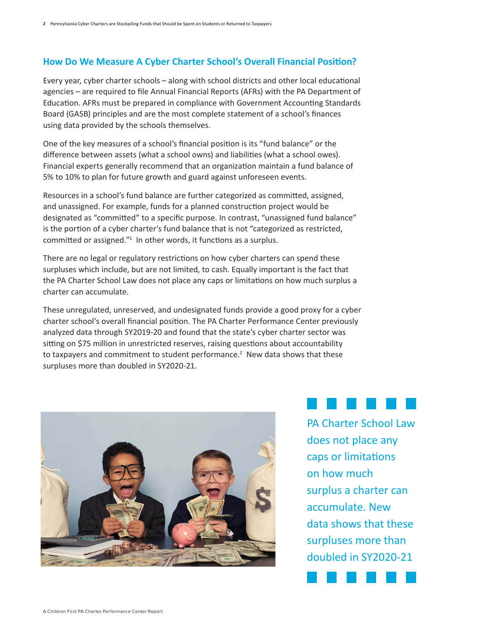# **How Do We Measure A Cyber Charter School's Overall Financial Position?**

Every year, cyber charter schools – along with school districts and other local educational agencies – are required to file Annual Financial Reports (AFRs) with the PA Department of Education. AFRs must be prepared in compliance with Government Accounting Standards Board (GASB) principles and are the most complete statement of a school's finances using data provided by the schools themselves.

One of the key measures of a school's financial position is its "fund balance" or the difference between assets (what a school owns) and liabilities (what a school owes). Financial experts generally recommend that an organization maintain a fund balance of 5% to 10% to plan for future growth and guard against unforeseen events.

Resources in a school's fund balance are further categorized as committed, assigned, and unassigned. For example, funds for a planned construction project would be designated as "committed" to a specific purpose. In contrast, "unassigned fund balance" is the portion of a cyber charter's fund balance that is not "categorized as restricted, committed or assigned."<sup>1</sup> In other words, it functions as a surplus.

There are no legal or regulatory restrictions on how cyber charters can spend these surpluses which include, but are not limited, to cash. Equally important is the fact that the PA Charter School Law does not place any caps or limitations on how much surplus a charter can accumulate.

These unregulated, unreserved, and undesignated funds provide a good proxy for a cyber charter school's overall financial position. The PA Charter Performance Center previously analyzed data through SY2019-20 and found that the state's cyber charter sector was sitting on \$75 million in unrestricted reserves, raising questions about accountability to taxpayers and commitment to student performance.<sup>2</sup> New data shows that these surpluses more than doubled in SY2020-21.



PA Charter School Law does not place any caps or limitations on how much surplus a charter can accumulate. New data shows that these surpluses more than doubled in SY2020-21

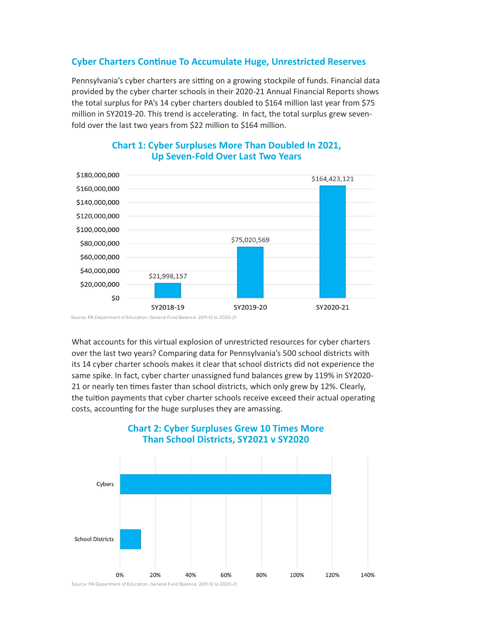### **Cyber Charters Continue To Accumulate Huge, Unrestricted Reserves**

Pennsylvania's cyber charters are sitting on a growing stockpile of funds. Financial data provided by the cyber charter schools in their 2020-21 Annual Financial Reports shows the total surplus for PA's 14 cyber charters doubled to \$164 million last year from \$75 million in SY2019-20. This trend is accelerating. In fact, the total surplus grew sevenfold over the last two years from \$22 million to \$164 million.



# **Chart 1: Cyber Surpluses More Than Doubled In 2021, Up Seven-Fold Over Last Two Years**

Source: PA Department of Education, General Fund Balance: 2011-12 to 2020-21

What accounts for this virtual explosion of unrestricted resources for cyber charters over the last two years? Comparing data for Pennsylvania's 500 school districts with its 14 cyber charter schools makes it clear that school districts did not experience the same spike. In fact, cyber charter unassigned fund balances grew by 119% in SY2020- 21 or nearly ten times faster than school districts, which only grew by 12%. Clearly, the tuition payments that cyber charter schools receive exceed their actual operating costs, accounting for the huge surpluses they are amassing.



# **Chart 2: Cyber Surpluses Grew 10 Times More Than School Districts, SY2021 v SY2020**

Source: PA Department of Education, General Fund Balance: 2011-12 to 2020-21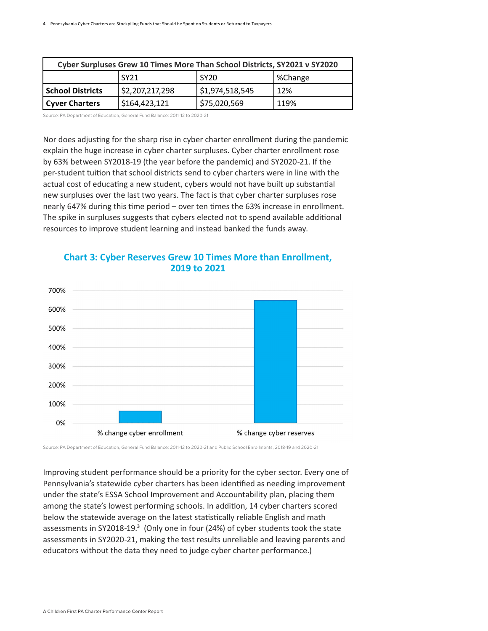| Cyber Surpluses Grew 10 Times More Than School Districts, SY2021 v SY2020 |                |                  |         |  |  |  |
|---------------------------------------------------------------------------|----------------|------------------|---------|--|--|--|
|                                                                           | <b>SY21</b>    | SY <sub>20</sub> | %Change |  |  |  |
| <b>School Districts</b>                                                   | 52,207,217,298 | \$1,974,518,545  | 12%     |  |  |  |
| <b>Cyver Charters</b>                                                     | \$164,423,121  | \$75,020,569     | 119%    |  |  |  |

Source: PA Department of Education, General Fund Balance: 2011-12 to 2020-21

Nor does adjusting for the sharp rise in cyber charter enrollment during the pandemic explain the huge increase in cyber charter surpluses. Cyber charter enrollment rose by 63% between SY2018-19 (the year before the pandemic) and SY2020-21. If the per-student tuition that school districts send to cyber charters were in line with the actual cost of educating a new student, cybers would not have built up substantial new surpluses over the last two years. The fact is that cyber charter surpluses rose nearly 647% during this time period – over ten times the 63% increase in enrollment. The spike in surpluses suggests that cybers elected not to spend available additional resources to improve student learning and instead banked the funds away.



### **Chart 3: Cyber Reserves Grew 10 Times More than Enrollment, 2019 to 2021**

Source: PA Department of Education, General Fund Balance: 2011-12 to 2020-21 and Public School Enrollments, 2018-19 and 2020-21

Improving student performance should be a priority for the cyber sector. Every one of Pennsylvania's statewide cyber charters has been identified as needing improvement under the state's ESSA School Improvement and Accountability plan, placing them among the state's lowest performing schools. In addition, 14 cyber charters scored below the statewide average on the latest statistically reliable English and math assessments in SY2018-19. $3$  (Only one in four (24%) of cyber students took the state assessments in SY2020-21, making the test results unreliable and leaving parents and educators without the data they need to judge cyber charter performance.)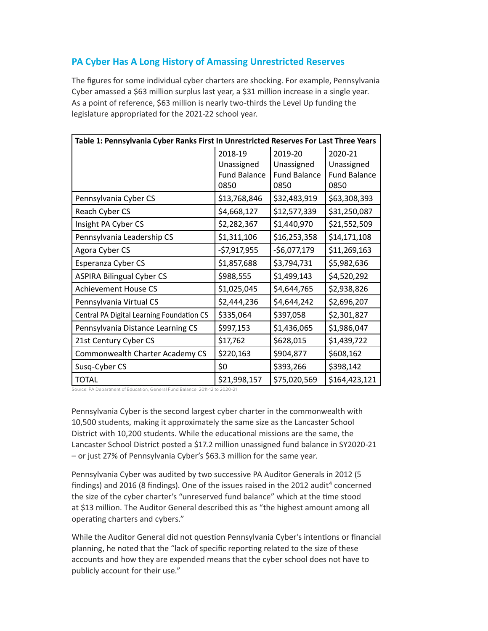# **PA Cyber Has A Long History of Amassing Unrestricted Reserves**

The figures for some individual cyber charters are shocking. For example, Pennsylvania Cyber amassed a \$63 million surplus last year, a \$31 million increase in a single year. As a point of reference, \$63 million is nearly two-thirds the Level Up funding the legislature appropriated for the 2021-22 school year.

| Table 1: Pennsylvania Cyber Ranks First In Unrestricted Reserves For Last Three Years |                                                      |                                                      |                                                      |  |  |
|---------------------------------------------------------------------------------------|------------------------------------------------------|------------------------------------------------------|------------------------------------------------------|--|--|
|                                                                                       | 2018-19<br>Unassigned<br><b>Fund Balance</b><br>0850 | 2019-20<br>Unassigned<br><b>Fund Balance</b><br>0850 | 2020-21<br>Unassigned<br><b>Fund Balance</b><br>0850 |  |  |
| Pennsylvania Cyber CS                                                                 | \$13,768,846                                         | \$32,483,919                                         | \$63,308,393                                         |  |  |
| Reach Cyber CS                                                                        | \$4,668,127                                          | \$12,577,339                                         | \$31,250,087                                         |  |  |
| Insight PA Cyber CS                                                                   | \$2,282,367                                          | \$1,440,970                                          | \$21,552,509                                         |  |  |
| Pennsylvania Leadership CS                                                            | \$1,311,106                                          | \$16,253,358                                         | \$14,171,108                                         |  |  |
| Agora Cyber CS                                                                        | $-57,917,955$                                        | $-56,077,179$                                        | \$11,269,163                                         |  |  |
| Esperanza Cyber CS                                                                    | \$1,857,688                                          | \$3,794,731                                          | \$5,982,636                                          |  |  |
| <b>ASPIRA Bilingual Cyber CS</b>                                                      | \$988,555                                            | \$1,499,143                                          | \$4,520,292                                          |  |  |
| <b>Achievement House CS</b>                                                           | \$1,025,045                                          | \$4,644,765                                          | \$2,938,826                                          |  |  |
| Pennsylvania Virtual CS                                                               | \$2,444,236                                          | \$4,644,242                                          | \$2,696,207                                          |  |  |
| Central PA Digital Learning Foundation CS                                             | \$335,064                                            | \$397,058                                            | \$2,301,827                                          |  |  |
| Pennsylvania Distance Learning CS                                                     | \$997,153                                            | \$1,436,065                                          | \$1,986,047                                          |  |  |
| 21st Century Cyber CS                                                                 | \$17,762                                             | \$628,015                                            | \$1,439,722                                          |  |  |
| Commonwealth Charter Academy CS                                                       | \$220,163                                            | \$904,877                                            | \$608,162                                            |  |  |
| Susq-Cyber CS                                                                         | \$0                                                  | \$393,266                                            | \$398,142                                            |  |  |
| <b>TOTAL</b>                                                                          | \$21,998,157                                         | \$75,020,569                                         | \$164,423,121                                        |  |  |

Source: PA Department of Education, General Fund Balance: 2011-12 to 2020-21

Pennsylvania Cyber is the second largest cyber charter in the commonwealth with 10,500 students, making it approximately the same size as the Lancaster School District with 10,200 students. While the educational missions are the same, the Lancaster School District posted a \$17.2 million unassigned fund balance in SY2020-21 – or just 27% of Pennsylvania Cyber's \$63.3 million for the same year.

Pennsylvania Cyber was audited by two successive PA Auditor Generals in 2012 (5 findings) and 2016 (8 findings). One of the issues raised in the 2012 audit<sup>4</sup> concerned the size of the cyber charter's "unreserved fund balance" which at the time stood at \$13 million. The Auditor General described this as "the highest amount among all operating charters and cybers."

While the Auditor General did not question Pennsylvania Cyber's intentions or financial planning, he noted that the "lack of specific reporting related to the size of these accounts and how they are expended means that the cyber school does not have to publicly account for their use."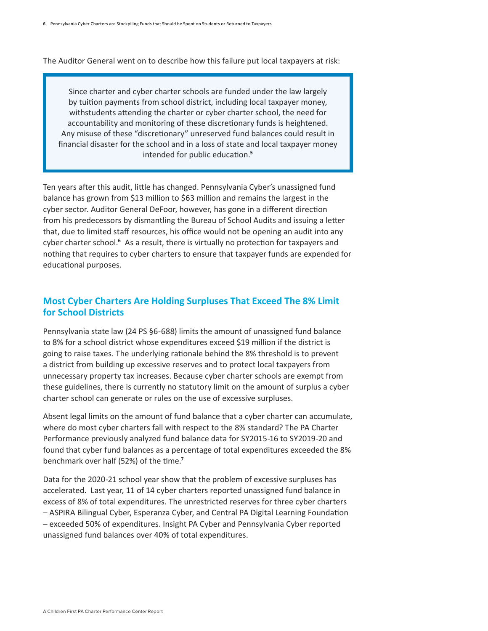The Auditor General went on to describe how this failure put local taxpayers at risk:

Since charter and cyber charter schools are funded under the law largely by tuition payments from school district, including local taxpayer money, withstudents attending the charter or cyber charter school, the need for accountability and monitoring of these discretionary funds is heightened. Any misuse of these "discretionary" unreserved fund balances could result in financial disaster for the school and in a loss of state and local taxpayer money intended for public education.<sup>5</sup>

Ten years after this audit, little has changed. Pennsylvania Cyber's unassigned fund balance has grown from \$13 million to \$63 million and remains the largest in the cyber sector. Auditor General DeFoor, however, has gone in a different direction from his predecessors by dismantling the Bureau of School Audits and issuing a letter that, due to limited staff resources, his office would not be opening an audit into any cyber charter school.<sup>6</sup> As a result, there is virtually no protection for taxpayers and nothing that requires to cyber charters to ensure that taxpayer funds are expended for educational purposes.

### **Most Cyber Charters Are Holding Surpluses That Exceed The 8% Limit for School Districts**

Pennsylvania state law (24 PS §6-688) limits the amount of unassigned fund balance to 8% for a school district whose expenditures exceed \$19 million if the district is going to raise taxes. The underlying rationale behind the 8% threshold is to prevent a district from building up excessive reserves and to protect local taxpayers from unnecessary property tax increases. Because cyber charter schools are exempt from these guidelines, there is currently no statutory limit on the amount of surplus a cyber charter school can generate or rules on the use of excessive surpluses. 

Absent legal limits on the amount of fund balance that a cyber charter can accumulate, where do most cyber charters fall with respect to the 8% standard? The PA Charter Performance previously analyzed fund balance data for SY2015-16 to SY2019-20 and found that cyber fund balances as a percentage of total expenditures exceeded the 8% benchmark over half (52%) of the time.<sup>7</sup>

Data for the 2020-21 school year show that the problem of excessive surpluses has accelerated. Last year, 11 of 14 cyber charters reported unassigned fund balance in excess of 8% of total expenditures. The unrestricted reserves for three cyber charters – ASPIRA Bilingual Cyber, Esperanza Cyber, and Central PA Digital Learning Foundation – exceeded 50% of expenditures. Insight PA Cyber and Pennsylvania Cyber reported unassigned fund balances over 40% of total expenditures.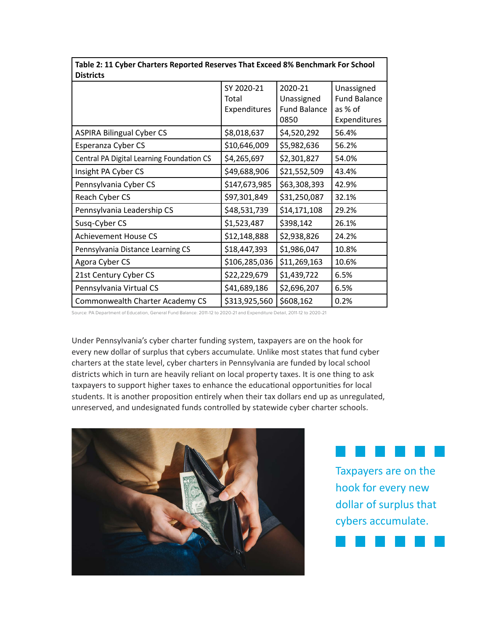| Table 2. If Cyber Charlers Reported Reserves That Exceed 070 Deficilitial KTOF School<br><b>Districts</b> |                                     |                                                      |                                                              |  |  |
|-----------------------------------------------------------------------------------------------------------|-------------------------------------|------------------------------------------------------|--------------------------------------------------------------|--|--|
|                                                                                                           | SY 2020-21<br>Total<br>Expenditures | 2020-21<br>Unassigned<br><b>Fund Balance</b><br>0850 | Unassigned<br><b>Fund Balance</b><br>as % of<br>Expenditures |  |  |
| <b>ASPIRA Bilingual Cyber CS</b>                                                                          | \$8,018,637                         | \$4,520,292                                          | 56.4%                                                        |  |  |
| Esperanza Cyber CS                                                                                        | \$10,646,009                        | \$5,982,636                                          | 56.2%                                                        |  |  |
| Central PA Digital Learning Foundation CS                                                                 | \$4,265,697                         | \$2,301,827                                          | 54.0%                                                        |  |  |
| Insight PA Cyber CS                                                                                       | \$49,688,906                        | \$21,552,509                                         | 43.4%                                                        |  |  |
| Pennsylvania Cyber CS                                                                                     | \$147,673,985                       | \$63,308,393                                         | 42.9%                                                        |  |  |
| Reach Cyber CS                                                                                            | \$97,301,849                        | \$31,250,087                                         | 32.1%                                                        |  |  |
| Pennsylvania Leadership CS                                                                                | \$48,531,739                        | \$14,171,108                                         | 29.2%                                                        |  |  |
| Susq-Cyber CS                                                                                             | \$1,523,487                         | \$398,142                                            | 26.1%                                                        |  |  |
| <b>Achievement House CS</b>                                                                               | \$12,148,888                        | \$2,938,826                                          | 24.2%                                                        |  |  |
| Pennsylvania Distance Learning CS                                                                         | \$18,447,393                        | \$1,986,047                                          | 10.8%                                                        |  |  |
| Agora Cyber CS                                                                                            | \$106,285,036                       | \$11,269,163                                         | 10.6%                                                        |  |  |
| 21st Century Cyber CS                                                                                     | \$22,229,679                        | \$1,439,722                                          | 6.5%                                                         |  |  |
| Pennsylvania Virtual CS                                                                                   | \$41,689,186                        | \$2,696,207                                          | 6.5%                                                         |  |  |
| Commonwealth Charter Academy CS                                                                           | \$313,925,560                       | \$608,162                                            | 0.2%                                                         |  |  |

**Table 2: 11 Cyber Charters Reported Reserves That Exceed 8% Benchmark For School** 

Source: PA Department of Education, General Fund Balance: 2011-12 to 2020-21 and Expenditure Detail, 2011-12 to 2020-21

Under Pennsylvania's cyber charter funding system, taxpayers are on the hook for every new dollar of surplus that cybers accumulate. Unlike most states that fund cyber charters at the state level, cyber charters in Pennsylvania are funded by local school districts which in turn are heavily reliant on local property taxes. It is one thing to ask taxpayers to support higher taxes to enhance the educational opportunities for local students. It is another proposition entirely when their tax dollars end up as unregulated, unreserved, and undesignated funds controlled by statewide cyber charter schools.





┐

Taxpayers are on the hook for every new dollar of surplus that cybers accumulate.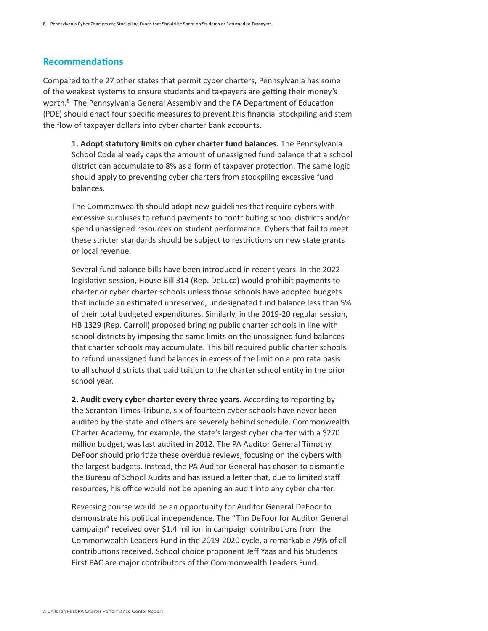#### **Recommendations**

Compared to the 27 other states that permit cyber charters, Pennsylvania has some of the weakest systems to ensure students and taxpayers are getting their money's worth.<sup>8</sup> The Pennsylvania General Assembly and the PA Department of Education (PDE) should enact four specific measures to prevent this financial stockpiling and stem the flow of taxpayer dollars into cyber charter bank accounts.  

**1. Adopt statutory limits on cyber charter fund balances.** The Pennsylvania School Code already caps the amount of unassigned fund balance that a school district can accumulate to 8% as a form of taxpayer protection. The same logic should apply to preventing cyber charters from stockpiling excessive fund balances.  

The Commonwealth should adopt new guidelines that require cybers with excessive surpluses to refund payments to contributing school districts and/or spend unassigned resources on student performance. Cybers that fail to meet these stricter standards should be subject to restrictions on new state grants or local revenue.  

Several fund balance bills have been introduced in recent years. In the 2022 legislative session, House Bill 314 (Rep. DeLuca) would prohibit payments to charter or cyber charter schools unless those schools have adopted budgets that include an estimated unreserved, undesignated fund balance less than 5% of their total budgeted expenditures. Similarly, in the 2019-20 regular session, HB 1329 (Rep. Carroll) proposed bringing public charter schools in line with school districts by imposing the same limits on the unassigned fund balances that charter schools may accumulate. This bill required public charter schools to refund unassigned fund balances in excess of the limit on a pro rata basis to all school districts that paid tuition to the charter school entity in the prior school year.   

**2. Audit every cyber charter every three years.** According to reporting by the Scranton Times-Tribune, six of fourteen cyber schools have never been audited by the state and others are severely behind schedule. Commonwealth Charter Academy, for example, the state's largest cyber charter with a \$270 million budget, was last audited in 2012. The PA Auditor General Timothy DeFoor should prioritize these overdue reviews, focusing on the cybers with the largest budgets. Instead, the PA Auditor General has chosen to dismantle the Bureau of School Audits and has issued a letter that, due to limited staff resources, his office would not be opening an audit into any cyber charter.

Reversing course would be an opportunity for Auditor General DeFoor to demonstrate his political independence. The "Tim DeFoor for Auditor General campaign" received over \$1.4 million in campaign contributions from the Commonwealth Leaders Fund in the 2019-2020 cycle, a remarkable 79% of all contributions received. School choice proponent Jeff Yaas and his Students First PAC are major contributors of the Commonwealth Leaders Fund.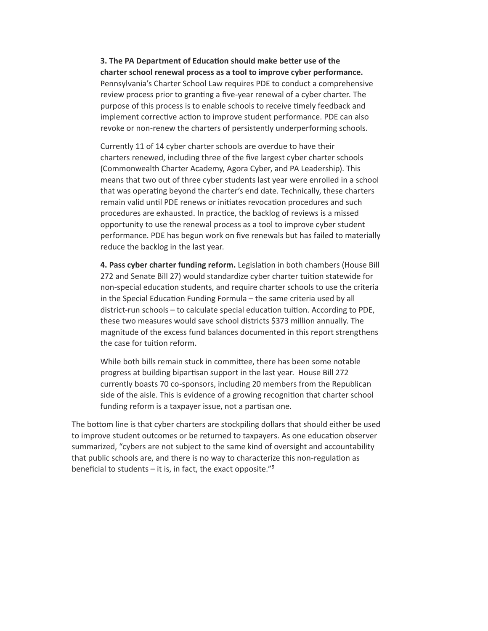**3. The PA Department of Education should make better use of the charter school renewal process as a tool to improve cyber performance.**  Pennsylvania's Charter School Law requires PDE to conduct a comprehensive review process prior to granting a five-year renewal of a cyber charter. The purpose of this process is to enable schools to receive timely feedback and implement corrective action to improve student performance. PDE can also revoke or non-renew the charters of persistently underperforming schools. 

Currently 11 of 14 cyber charter schools are overdue to have their charters renewed, including three of the five largest cyber charter schools (Commonwealth Charter Academy, Agora Cyber, and PA Leadership). This means that two out of three cyber students last year were enrolled in a school that was operating beyond the charter's end date. Technically, these charters remain valid until PDE renews or initiates revocation procedures and such procedures are exhausted. In practice, the backlog of reviews is a missed opportunity to use the renewal process as a tool to improve cyber student performance. PDE has begun work on five renewals but has failed to materially reduce the backlog in the last year.

**4. Pass cyber charter funding reform.** Legislation in both chambers (House Bill 272 and Senate Bill 27) would standardize cyber charter tuition statewide for non-special education students, and require charter schools to use the criteria in the Special Education Funding Formula – the same criteria used by all district-run schools – to calculate special education tuition. According to PDE, these two measures would save school districts \$373 million annually. The magnitude of the excess fund balances documented in this report strengthens the case for tuition reform.  

While both bills remain stuck in committee, there has been some notable progress at building bipartisan support in the last year. House Bill 272 currently boasts 70 co-sponsors, including 20 members from the Republican side of the aisle. This is evidence of a growing recognition that charter school funding reform is a taxpayer issue, not a partisan one.

The bottom line is that cyber charters are stockpiling dollars that should either be used to improve student outcomes or be returned to taxpayers. As one education observer summarized, "cybers are not subject to the same kind of oversight and accountability that public schools are, and there is no way to characterize this non-regulation as beneficial to students  $-$  it is, in fact, the exact opposite." $9$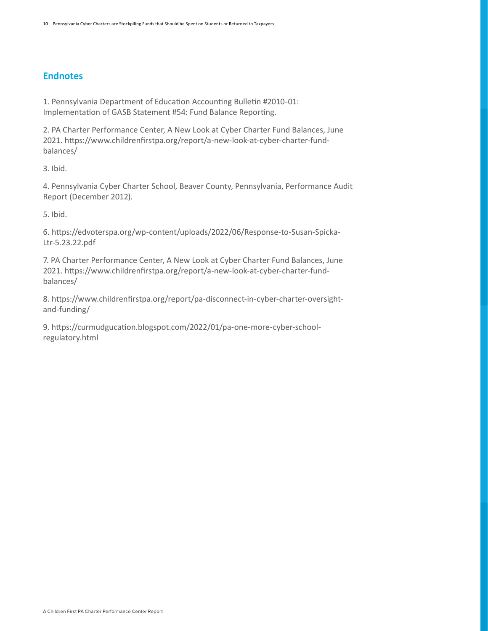# **Endnotes**

1. Pennsylvania Department of Education Accounting Bulletin #2010-01: Implementation of GASB Statement #54: Fund Balance Reporting.

2. PA Charter Performance Center, A New Look at Cyber Charter Fund Balances, June 2021. https://www.childrenfirstpa.org/report/a-new-look-at-cyber-charter-fundbalances/

3. Ibid.

4. Pennsylvania Cyber Charter School, Beaver County, Pennsylvania, Performance Audit Report (December 2012).

5. Ibid.

6. https://edvoterspa.org/wp-content/uploads/2022/06/Response-to-Susan-Spicka-Ltr-5.23.22.pdf

7. PA Charter Performance Center, A New Look at Cyber Charter Fund Balances, June 2021. https://www.childrenfirstpa.org/report/a-new-look-at-cyber-charter-fundbalances/

8. https://www.childrenfirstpa.org/report/pa-disconnect-in-cyber-charter-oversightand-funding/

9. https://curmudgucation.blogspot.com/2022/01/pa-one-more-cyber-schoolregulatory.html